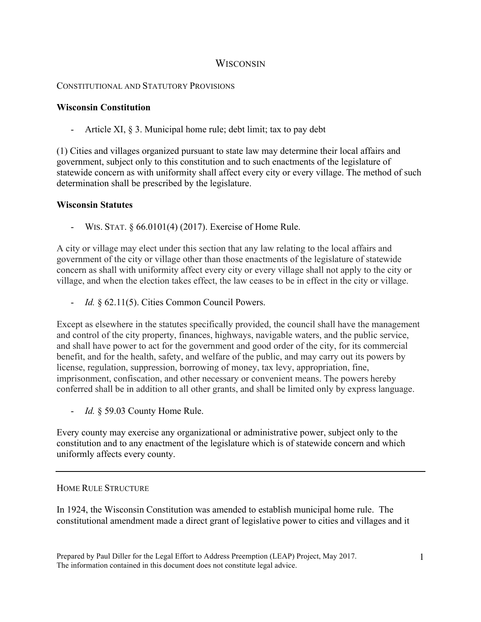# **WISCONSIN**

## CONSTITUTIONAL AND STATUTORY PROVISIONS

### **Wisconsin Constitution**

- Article XI, § 3. Municipal home rule; debt limit; tax to pay debt

(1) Cities and villages organized pursuant to state law may determine their local affairs and government, subject only to this constitution and to such enactments of the legislature of statewide concern as with uniformity shall affect every city or every village. The method of such determination shall be prescribed by the legislature.

### **Wisconsin Statutes**

- WIS. STAT. § 66.0101(4) (2017). Exercise of Home Rule.

A city or village may elect under this section that any law relating to the local affairs and government of the city or village other than those enactments of the legislature of statewide concern as shall with uniformity affect every city or every village shall not apply to the city or village, and when the election takes effect, the law ceases to be in effect in the city or village.

- *Id.* § 62.11(5). Cities Common Council Powers.

Except as elsewhere in the statutes specifically provided, the council shall have the management and control of the city property, finances, highways, navigable waters, and the public service, and shall have power to act for the government and good order of the city, for its commercial benefit, and for the health, safety, and welfare of the public, and may carry out its powers by license, regulation, suppression, borrowing of money, tax levy, appropriation, fine, imprisonment, confiscation, and other necessary or convenient means. The powers hereby conferred shall be in addition to all other grants, and shall be limited only by express language.

- *Id.* § 59.03 County Home Rule.

Every county may exercise any organizational or administrative power, subject only to the constitution and to any enactment of the legislature which is of statewide concern and which uniformly affects every county.

## HOME RULE STRUCTURE

In 1924, the Wisconsin Constitution was amended to establish municipal home rule. The constitutional amendment made a direct grant of legislative power to cities and villages and it

Prepared by Paul Diller for the Legal Effort to Address Preemption (LEAP) Project, May 2017. The information contained in this document does not constitute legal advice.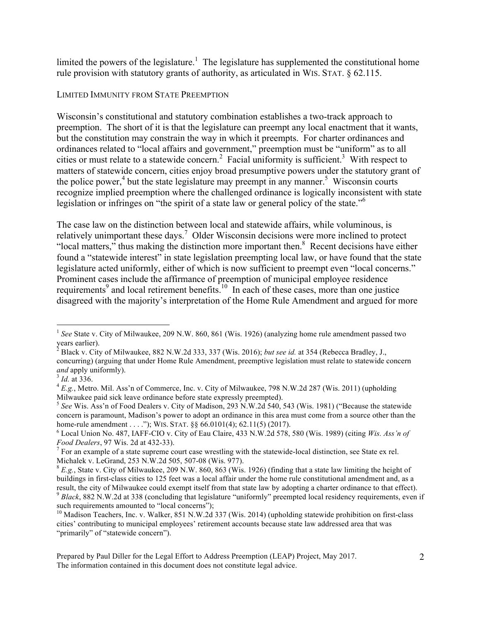limited the powers of the legislature.<sup>1</sup> The legislature has supplemented the constitutional home rule provision with statutory grants of authority, as articulated in WIS. STAT. § 62.115.

#### LIMITED IMMUNITY FROM STATE PREEMPTION

Wisconsin's constitutional and statutory combination establishes a two-track approach to preemption. The short of it is that the legislature can preempt any local enactment that it wants, but the constitution may constrain the way in which it preempts. For charter ordinances and ordinances related to "local affairs and government," preemption must be "uniform" as to all cities or must relate to a statewide concern.<sup>2</sup> Facial uniformity is sufficient.<sup>3</sup> With respect to matters of statewide concern, cities enjoy broad presumptive powers under the statutory grant of the police power,<sup>4</sup> but the state legislature may preempt in any manner.<sup>5</sup> Wisconsin courts recognize implied preemption where the challenged ordinance is logically inconsistent with state legislation or infringes on "the spirit of a state law or general policy of the state."<sup>6</sup>

The case law on the distinction between local and statewide affairs, while voluminous, is relatively unimportant these days.<sup>7</sup> Older Wisconsin decisions were more inclined to protect "local matters," thus making the distinction more important then.<sup>8</sup> Recent decisions have either found a "statewide interest" in state legislation preempting local law, or have found that the state legislature acted uniformly, either of which is now sufficient to preempt even "local concerns." Prominent cases include the affirmance of preemption of municipal employee residence requirements<sup>9</sup> and local retirement benefits.<sup>10</sup> In each of these cases, more than one justice disagreed with the majority's interpretation of the Home Rule Amendment and argued for more

<sup>&</sup>lt;sup>1</sup> See State v. City of Milwaukee, 209 N.W. 860, 861 (Wis. 1926) (analyzing home rule amendment passed two

years earlier). 2 Black v. City of Milwaukee, 882 N.W.2d 333, 337 (Wis. 2016); *but see id.* at 354 (Rebecca Bradley, J., concurring) (arguing that under Home Rule Amendment, preemptive legislation must relate to statewide concern *and* apply uniformly).<br><sup>3</sup> *Id.* at 336.<br><sup>4</sup> *E.g.*, Metro. Mil. Ass'n of Commerce, Inc. v. City of Milwaukee, 798 N.W.2d 287 (Wis. 2011) (upholding

Milwaukee paid sick leave ordinance before state expressly preempted).

<sup>5</sup> *See* Wis. Ass'n of Food Dealers v. City of Madison, 293 N.W.2d 540, 543 (Wis. 1981) ("Because the statewide concern is paramount, Madison's power to adopt an ordinance in this area must come from a source other than the home-rule amendment . . . ."); WIS. STAT.  $\S$ § 66.0101(4); 62.11(5) (2017).

<sup>6</sup> Local Union No. 487, IAFF-CIO v. City of Eau Claire, 433 N.W.2d 578, 580 (Wis. 1989) (citing *Wis. Ass'n of* 

*Food Dealers*, 97 Wis. 2d at 432-33).<br><sup>7</sup> For an example of a state supreme court case wrestling with the statewide-local distinction, see State ex rel.<br>Michalek v. LeGrand, 253 N.W.2d 505, 507-08 (Wis. 977).

 $^8$  E.g., State v. City of Milwaukee, 209 N.W. 860, 863 (Wis. 1926) (finding that a state law limiting the height of buildings in first-class cities to 125 feet was a local affair under the home rule constitutional amendment and, as a result, the city of Milwaukee could exempt itself from that state law by adopting a charter ordinance to that effect).<br><sup>9</sup> Black, 882 N.W.2d at 338 (concluding that legislature "uniformly" preempted local residency require such requirements amounted to "local concerns");

<sup>&</sup>lt;sup>10</sup> Madison Teachers, Inc. v. Walker, 851 N.W.2d 337 (Wis. 2014) (upholding statewide prohibition on first-class cities' contributing to municipal employees' retirement accounts because state law addressed area that was "primarily" of "statewide concern").

Prepared by Paul Diller for the Legal Effort to Address Preemption (LEAP) Project, May 2017. The information contained in this document does not constitute legal advice.